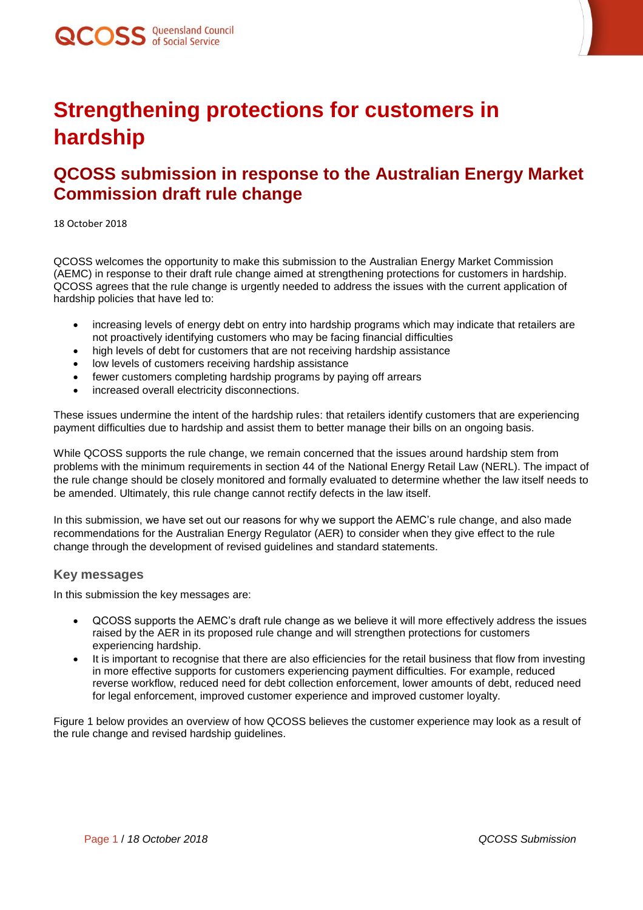

## **Strengthening protections for customers in hardship**

### **QCOSS submission in response to the Australian Energy Market Commission draft rule change**

18 October 2018

QCOSS welcomes the opportunity to make this submission to the Australian Energy Market Commission (AEMC) in response to their draft rule change aimed at strengthening protections for customers in hardship. QCOSS agrees that the rule change is urgently needed to address the issues with the current application of hardship policies that have led to:

- increasing levels of energy debt on entry into hardship programs which may indicate that retailers are not proactively identifying customers who may be facing financial difficulties
- high levels of debt for customers that are not receiving hardship assistance
- low levels of customers receiving hardship assistance
- fewer customers completing hardship programs by paying off arrears
- increased overall electricity disconnections.

These issues undermine the intent of the hardship rules: that retailers identify customers that are experiencing payment difficulties due to hardship and assist them to better manage their bills on an ongoing basis.

While QCOSS supports the rule change, we remain concerned that the issues around hardship stem from problems with the minimum requirements in section 44 of the National Energy Retail Law (NERL). The impact of the rule change should be closely monitored and formally evaluated to determine whether the law itself needs to be amended. Ultimately, this rule change cannot rectify defects in the law itself.

In this submission, we have set out our reasons for why we support the AEMC's rule change, and also made recommendations for the Australian Energy Regulator (AER) to consider when they give effect to the rule change through the development of revised guidelines and standard statements.

#### **Key messages**

In this submission the key messages are:

- QCOSS supports the AEMC's draft rule change as we believe it will more effectively address the issues raised by the AER in its proposed rule change and will strengthen protections for customers experiencing hardship.
- It is important to recognise that there are also efficiencies for the retail business that flow from investing in more effective supports for customers experiencing payment difficulties. For example, reduced reverse workflow, reduced need for debt collection enforcement, lower amounts of debt, reduced need for legal enforcement, improved customer experience and improved customer loyalty.

Figure 1 below provides an overview of how QCOSS believes the customer experience may look as a result of the rule change and revised hardship guidelines.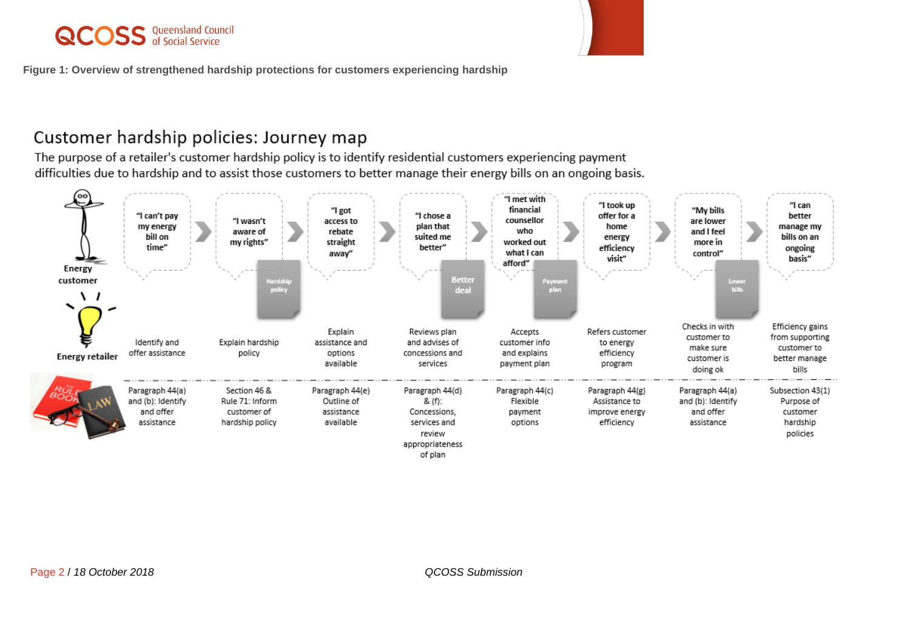# **QCOSS** Queensland Council



**Figure 1: Overview of strengthened hardship protections for customers experiencing hardship**

### Customer hardship policies: Journey map

The purpose of a retailer's customer hardship policy is to identify residential customers experiencing payment difficulties due to hardship and to assist those customers to better manage their energy bills on an ongoing basis.

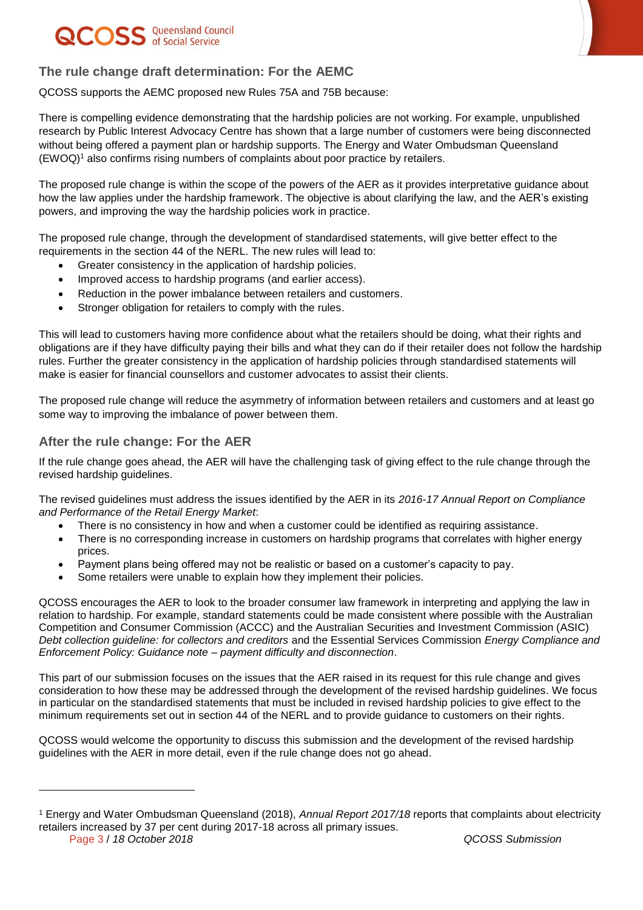# QCOSS Queensland Council



### **The rule change draft determination: For the AEMC**

QCOSS supports the AEMC proposed new Rules 75A and 75B because:

There is compelling evidence demonstrating that the hardship policies are not working. For example, unpublished research by Public Interest Advocacy Centre has shown that a large number of customers were being disconnected without being offered a payment plan or hardship supports. The Energy and Water Ombudsman Queensland (EWOQ)<sup>1</sup> also confirms rising numbers of complaints about poor practice by retailers.

The proposed rule change is within the scope of the powers of the AER as it provides interpretative guidance about how the law applies under the hardship framework. The objective is about clarifying the law, and the AER's existing powers, and improving the way the hardship policies work in practice.

The proposed rule change, through the development of standardised statements, will give better effect to the requirements in the section 44 of the NERL. The new rules will lead to:

- Greater consistency in the application of hardship policies.
- Improved access to hardship programs (and earlier access).
- Reduction in the power imbalance between retailers and customers.
- Stronger obligation for retailers to comply with the rules.

This will lead to customers having more confidence about what the retailers should be doing, what their rights and obligations are if they have difficulty paying their bills and what they can do if their retailer does not follow the hardship rules. Further the greater consistency in the application of hardship policies through standardised statements will make is easier for financial counsellors and customer advocates to assist their clients.

The proposed rule change will reduce the asymmetry of information between retailers and customers and at least go some way to improving the imbalance of power between them.

### **After the rule change: For the AER**

l

If the rule change goes ahead, the AER will have the challenging task of giving effect to the rule change through the revised hardship guidelines.

The revised guidelines must address the issues identified by the AER in its *2016-17 Annual Report on Compliance and Performance of the Retail Energy Market*:

- There is no consistency in how and when a customer could be identified as requiring assistance.
- There is no corresponding increase in customers on hardship programs that correlates with higher energy prices.
- Payment plans being offered may not be realistic or based on a customer's capacity to pay.
- Some retailers were unable to explain how they implement their policies.

QCOSS encourages the AER to look to the broader consumer law framework in interpreting and applying the law in relation to hardship. For example, standard statements could be made consistent where possible with the Australian Competition and Consumer Commission (ACCC) and the Australian Securities and Investment Commission (ASIC) *Debt collection guideline: for collectors and creditors* and the Essential Services Commission *Energy Compliance and Enforcement Policy: Guidance note – payment difficulty and disconnection*.

This part of our submission focuses on the issues that the AER raised in its request for this rule change and gives consideration to how these may be addressed through the development of the revised hardship guidelines. We focus in particular on the standardised statements that must be included in revised hardship policies to give effect to the minimum requirements set out in section 44 of the NERL and to provide guidance to customers on their rights.

QCOSS would welcome the opportunity to discuss this submission and the development of the revised hardship guidelines with the AER in more detail, even if the rule change does not go ahead.

Page 3 / *18 October 2018 QCOSS Submission* <sup>1</sup> Energy and Water Ombudsman Queensland (2018), *Annual Report 2017/18* reports that complaints about electricity retailers increased by 37 per cent during 2017-18 across all primary issues.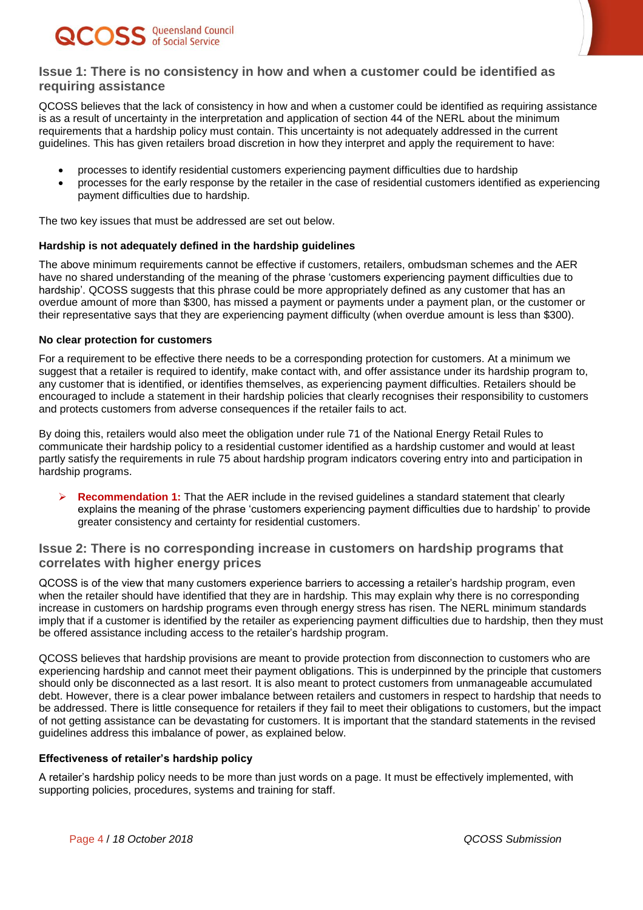



#### **Issue 1: There is no consistency in how and when a customer could be identified as requiring assistance**

QCOSS believes that the lack of consistency in how and when a customer could be identified as requiring assistance is as a result of uncertainty in the interpretation and application of section 44 of the NERL about the minimum requirements that a hardship policy must contain. This uncertainty is not adequately addressed in the current guidelines. This has given retailers broad discretion in how they interpret and apply the requirement to have:

- processes to identify residential customers experiencing payment difficulties due to hardship
- processes for the early response by the retailer in the case of residential customers identified as experiencing payment difficulties due to hardship.

The two key issues that must be addressed are set out below.

#### **Hardship is not adequately defined in the hardship guidelines**

The above minimum requirements cannot be effective if customers, retailers, ombudsman schemes and the AER have no shared understanding of the meaning of the phrase 'customers experiencing payment difficulties due to hardship'. QCOSS suggests that this phrase could be more appropriately defined as any customer that has an overdue amount of more than \$300, has missed a payment or payments under a payment plan, or the customer or their representative says that they are experiencing payment difficulty (when overdue amount is less than \$300).

#### **No clear protection for customers**

For a requirement to be effective there needs to be a corresponding protection for customers. At a minimum we suggest that a retailer is required to identify, make contact with, and offer assistance under its hardship program to, any customer that is identified, or identifies themselves, as experiencing payment difficulties. Retailers should be encouraged to include a statement in their hardship policies that clearly recognises their responsibility to customers and protects customers from adverse consequences if the retailer fails to act.

By doing this, retailers would also meet the obligation under rule 71 of the National Energy Retail Rules to communicate their hardship policy to a residential customer identified as a hardship customer and would at least partly satisfy the requirements in rule 75 about hardship program indicators covering entry into and participation in hardship programs.

**Recommendation 1:** That the AER include in the revised guidelines a standard statement that clearly explains the meaning of the phrase 'customers experiencing payment difficulties due to hardship' to provide greater consistency and certainty for residential customers.

#### **Issue 2: There is no corresponding increase in customers on hardship programs that correlates with higher energy prices**

QCOSS is of the view that many customers experience barriers to accessing a retailer's hardship program, even when the retailer should have identified that they are in hardship. This may explain why there is no corresponding increase in customers on hardship programs even through energy stress has risen. The NERL minimum standards imply that if a customer is identified by the retailer as experiencing payment difficulties due to hardship, then they must be offered assistance including access to the retailer's hardship program.

QCOSS believes that hardship provisions are meant to provide protection from disconnection to customers who are experiencing hardship and cannot meet their payment obligations. This is underpinned by the principle that customers should only be disconnected as a last resort. It is also meant to protect customers from unmanageable accumulated debt. However, there is a clear power imbalance between retailers and customers in respect to hardship that needs to be addressed. There is little consequence for retailers if they fail to meet their obligations to customers, but the impact of not getting assistance can be devastating for customers. It is important that the standard statements in the revised guidelines address this imbalance of power, as explained below.

#### **Effectiveness of retailer's hardship policy**

A retailer's hardship policy needs to be more than just words on a page. It must be effectively implemented, with supporting policies, procedures, systems and training for staff.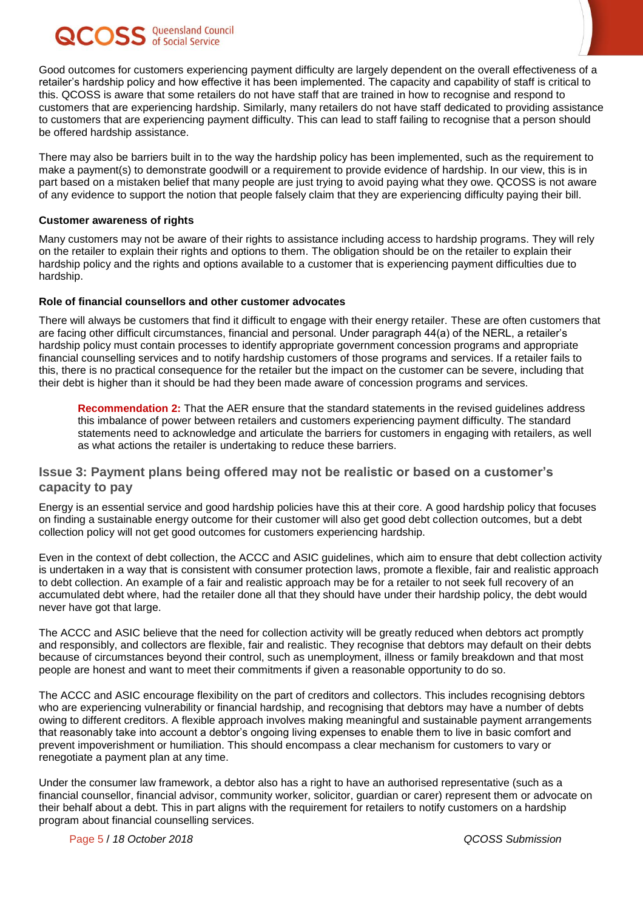## **COSS** Queensland Council

Good outcomes for customers experiencing payment difficulty are largely dependent on the overall effectiveness of a retailer's hardship policy and how effective it has been implemented. The capacity and capability of staff is critical to this. QCOSS is aware that some retailers do not have staff that are trained in how to recognise and respond to customers that are experiencing hardship. Similarly, many retailers do not have staff dedicated to providing assistance to customers that are experiencing payment difficulty. This can lead to staff failing to recognise that a person should be offered hardship assistance.

There may also be barriers built in to the way the hardship policy has been implemented, such as the requirement to make a payment(s) to demonstrate goodwill or a requirement to provide evidence of hardship. In our view, this is in part based on a mistaken belief that many people are just trying to avoid paying what they owe. QCOSS is not aware of any evidence to support the notion that people falsely claim that they are experiencing difficulty paying their bill.

#### **Customer awareness of rights**

Many customers may not be aware of their rights to assistance including access to hardship programs. They will rely on the retailer to explain their rights and options to them. The obligation should be on the retailer to explain their hardship policy and the rights and options available to a customer that is experiencing payment difficulties due to hardship.

#### **Role of financial counsellors and other customer advocates**

There will always be customers that find it difficult to engage with their energy retailer. These are often customers that are facing other difficult circumstances, financial and personal. Under paragraph 44(a) of the NERL, a retailer's hardship policy must contain processes to identify appropriate government concession programs and appropriate financial counselling services and to notify hardship customers of those programs and services. If a retailer fails to this, there is no practical consequence for the retailer but the impact on the customer can be severe, including that their debt is higher than it should be had they been made aware of concession programs and services.

**Recommendation 2:** That the AER ensure that the standard statements in the revised guidelines address this imbalance of power between retailers and customers experiencing payment difficulty. The standard statements need to acknowledge and articulate the barriers for customers in engaging with retailers, as well as what actions the retailer is undertaking to reduce these barriers.

#### **Issue 3: Payment plans being offered may not be realistic or based on a customer's capacity to pay**

Energy is an essential service and good hardship policies have this at their core. A good hardship policy that focuses on finding a sustainable energy outcome for their customer will also get good debt collection outcomes, but a debt collection policy will not get good outcomes for customers experiencing hardship.

Even in the context of debt collection, the ACCC and ASIC guidelines, which aim to ensure that debt collection activity is undertaken in a way that is consistent with consumer protection laws, promote a flexible, fair and realistic approach to debt collection. An example of a fair and realistic approach may be for a retailer to not seek full recovery of an accumulated debt where, had the retailer done all that they should have under their hardship policy, the debt would never have got that large.

The ACCC and ASIC believe that the need for collection activity will be greatly reduced when debtors act promptly and responsibly, and collectors are flexible, fair and realistic. They recognise that debtors may default on their debts because of circumstances beyond their control, such as unemployment, illness or family breakdown and that most people are honest and want to meet their commitments if given a reasonable opportunity to do so.

The ACCC and ASIC encourage flexibility on the part of creditors and collectors. This includes recognising debtors who are experiencing vulnerability or financial hardship, and recognising that debtors may have a number of debts owing to different creditors. A flexible approach involves making meaningful and sustainable payment arrangements that reasonably take into account a debtor's ongoing living expenses to enable them to live in basic comfort and prevent impoverishment or humiliation. This should encompass a clear mechanism for customers to vary or renegotiate a payment plan at any time.

Under the consumer law framework, a debtor also has a right to have an authorised representative (such as a financial counsellor, financial advisor, community worker, solicitor, guardian or carer) represent them or advocate on their behalf about a debt. This in part aligns with the requirement for retailers to notify customers on a hardship program about financial counselling services.

Page 5 / *18 October 2018 QCOSS Submission*